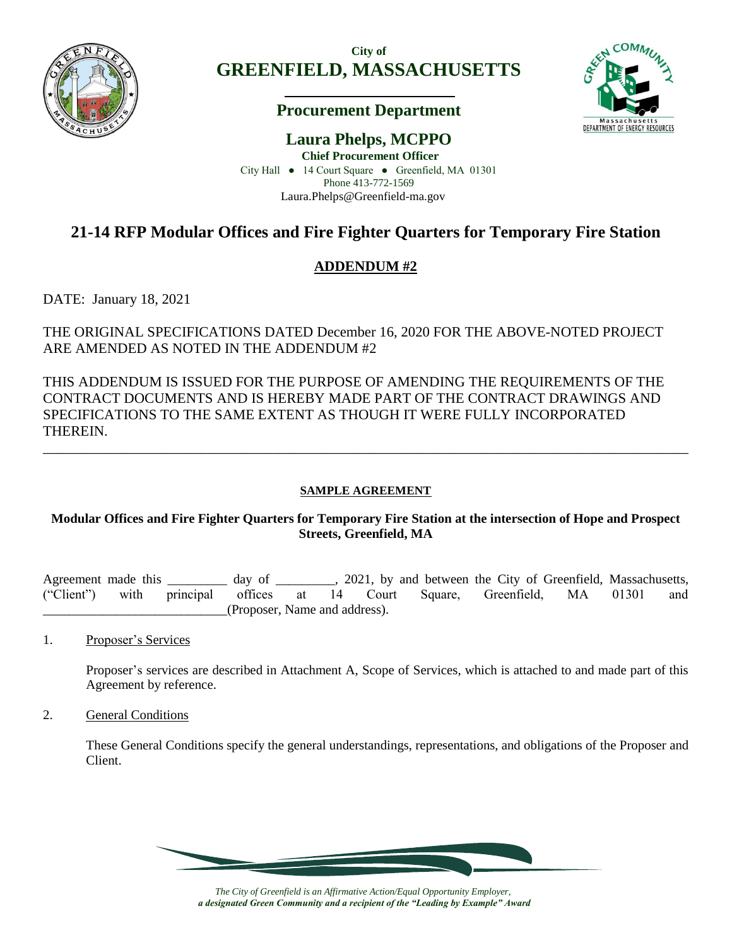

**City of GREENFIELD, MASSACHUSETTS**

## **Procurement Department**



**Laura Phelps, MCPPO Chief Procurement Officer** City Hall ● 14 Court Square ● Greenfield, MA 01301 Phone 413-772-1569 Laura.Phelps@Greenfield-ma.gov

# **21-14 RFP Modular Offices and Fire Fighter Quarters for Temporary Fire Station**

## **ADDENDUM #2**

DATE: January 18, 2021

THE ORIGINAL SPECIFICATIONS DATED December 16, 2020 FOR THE ABOVE-NOTED PROJECT ARE AMENDED AS NOTED IN THE ADDENDUM #2

THIS ADDENDUM IS ISSUED FOR THE PURPOSE OF AMENDING THE REQUIREMENTS OF THE CONTRACT DOCUMENTS AND IS HEREBY MADE PART OF THE CONTRACT DRAWINGS AND SPECIFICATIONS TO THE SAME EXTENT AS THOUGH IT WERE FULLY INCORPORATED THEREIN.

### **SAMPLE AGREEMENT**

\_\_\_\_\_\_\_\_\_\_\_\_\_\_\_\_\_\_\_\_\_\_\_\_\_\_\_\_\_\_\_\_\_\_\_\_\_\_\_\_\_\_\_\_\_\_\_\_\_\_\_\_\_\_\_\_\_\_\_\_\_\_\_\_\_\_\_\_\_\_\_\_\_\_\_\_\_\_\_\_\_\_\_\_\_\_\_\_\_\_

### **Modular Offices and Fire Fighter Quarters for Temporary Fire Station at the intersection of Hope and Prospect Streets, Greenfield, MA**

Agreement made this \_\_\_\_\_\_\_\_\_ day of \_\_\_\_\_\_\_, 2021, by and between the City of Greenfield, Massachusetts, ("Client") with principal offices at 14 Court Square, Greenfield, MA 01301 and \_\_\_\_\_\_\_\_\_\_\_\_\_\_\_\_\_\_\_\_\_\_\_\_\_\_\_\_(Proposer, Name and address).

1. Proposer's Services

Proposer's services are described in Attachment A, Scope of Services, which is attached to and made part of this Agreement by reference.

2. General Conditions

These General Conditions specify the general understandings, representations, and obligations of the Proposer and Client.



*The City of Greenfield is an Affirmative Action/Equal Opportunity Employer, a designated Green Community and a recipient of the "Leading by Example" Award*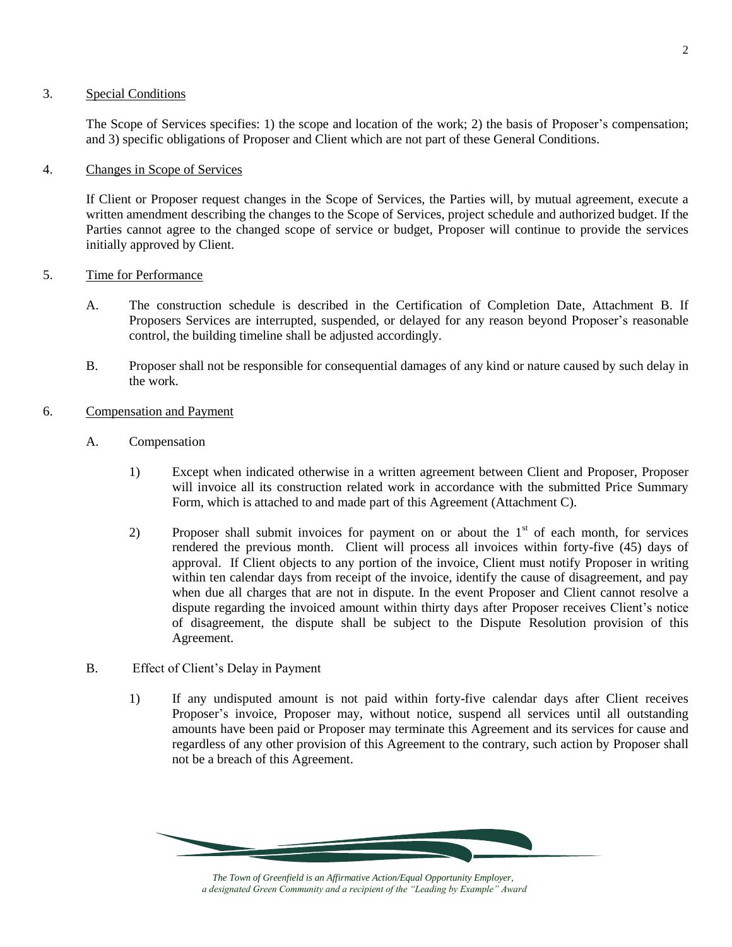#### 3. Special Conditions

The Scope of Services specifies: 1) the scope and location of the work; 2) the basis of Proposer's compensation; and 3) specific obligations of Proposer and Client which are not part of these General Conditions.

#### 4. Changes in Scope of Services

If Client or Proposer request changes in the Scope of Services, the Parties will, by mutual agreement, execute a written amendment describing the changes to the Scope of Services, project schedule and authorized budget. If the Parties cannot agree to the changed scope of service or budget, Proposer will continue to provide the services initially approved by Client.

#### 5. Time for Performance

- A. The construction schedule is described in the Certification of Completion Date, Attachment B. If Proposers Services are interrupted, suspended, or delayed for any reason beyond Proposer's reasonable control, the building timeline shall be adjusted accordingly.
- B. Proposer shall not be responsible for consequential damages of any kind or nature caused by such delay in the work.
- 6. Compensation and Payment
	- A. Compensation
		- 1) Except when indicated otherwise in a written agreement between Client and Proposer, Proposer will invoice all its construction related work in accordance with the submitted Price Summary Form, which is attached to and made part of this Agreement (Attachment C).
		- 2) Proposer shall submit invoices for payment on or about the  $1<sup>st</sup>$  of each month, for services rendered the previous month. Client will process all invoices within forty-five (45) days of approval. If Client objects to any portion of the invoice, Client must notify Proposer in writing within ten calendar days from receipt of the invoice, identify the cause of disagreement, and pay when due all charges that are not in dispute. In the event Proposer and Client cannot resolve a dispute regarding the invoiced amount within thirty days after Proposer receives Client's notice of disagreement, the dispute shall be subject to the Dispute Resolution provision of this Agreement.
	- B. Effect of Client's Delay in Payment
		- 1) If any undisputed amount is not paid within forty-five calendar days after Client receives Proposer's invoice, Proposer may, without notice, suspend all services until all outstanding amounts have been paid or Proposer may terminate this Agreement and its services for cause and regardless of any other provision of this Agreement to the contrary, such action by Proposer shall not be a breach of this Agreement.

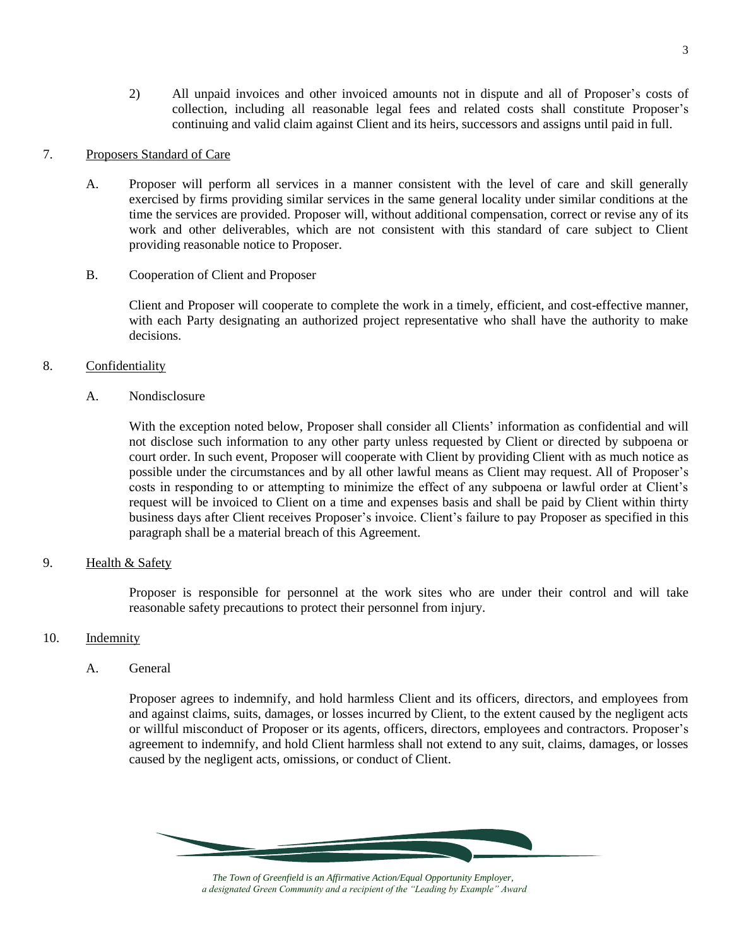2) All unpaid invoices and other invoiced amounts not in dispute and all of Proposer's costs of collection, including all reasonable legal fees and related costs shall constitute Proposer's continuing and valid claim against Client and its heirs, successors and assigns until paid in full.

#### 7. Proposers Standard of Care

- A. Proposer will perform all services in a manner consistent with the level of care and skill generally exercised by firms providing similar services in the same general locality under similar conditions at the time the services are provided. Proposer will, without additional compensation, correct or revise any of its work and other deliverables, which are not consistent with this standard of care subject to Client providing reasonable notice to Proposer.
- B. Cooperation of Client and Proposer

Client and Proposer will cooperate to complete the work in a timely, efficient, and cost-effective manner, with each Party designating an authorized project representative who shall have the authority to make decisions.

#### 8. Confidentiality

A. Nondisclosure

With the exception noted below, Proposer shall consider all Clients' information as confidential and will not disclose such information to any other party unless requested by Client or directed by subpoena or court order. In such event, Proposer will cooperate with Client by providing Client with as much notice as possible under the circumstances and by all other lawful means as Client may request. All of Proposer's costs in responding to or attempting to minimize the effect of any subpoena or lawful order at Client's request will be invoiced to Client on a time and expenses basis and shall be paid by Client within thirty business days after Client receives Proposer's invoice. Client's failure to pay Proposer as specified in this paragraph shall be a material breach of this Agreement.

#### 9. Health & Safety

Proposer is responsible for personnel at the work sites who are under their control and will take reasonable safety precautions to protect their personnel from injury.

#### 10. Indemnity

A. General

Proposer agrees to indemnify, and hold harmless Client and its officers, directors, and employees from and against claims, suits, damages, or losses incurred by Client, to the extent caused by the negligent acts or willful misconduct of Proposer or its agents, officers, directors, employees and contractors. Proposer's agreement to indemnify, and hold Client harmless shall not extend to any suit, claims, damages, or losses caused by the negligent acts, omissions, or conduct of Client.



*The Town of Greenfield is an Affirmative Action/Equal Opportunity Employer, a designated Green Community and a recipient of the "Leading by Example" Award*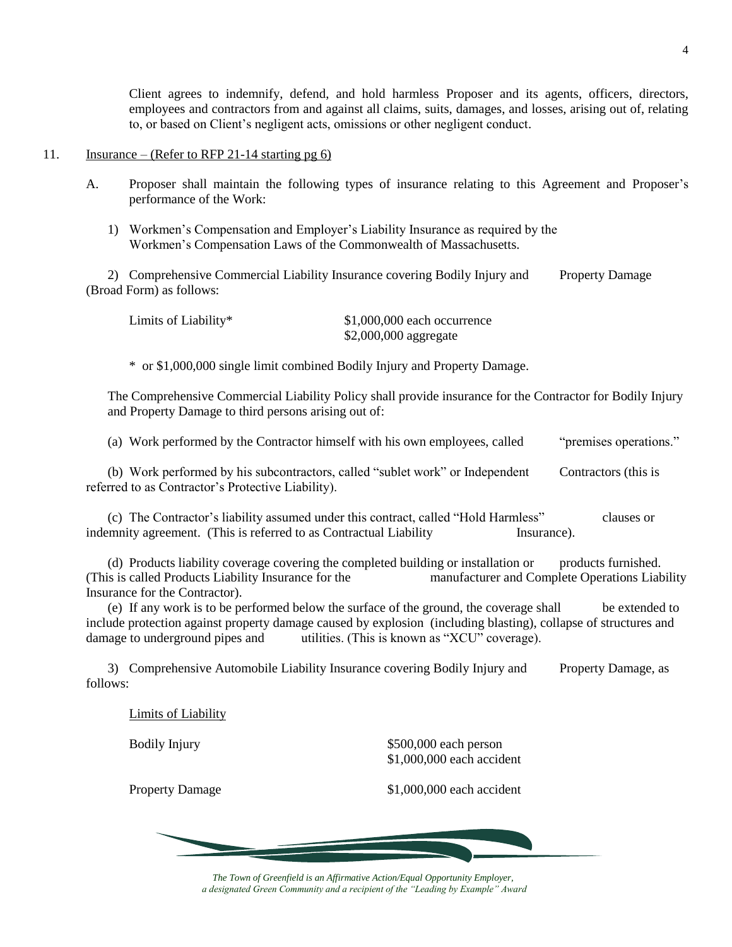Client agrees to indemnify, defend, and hold harmless Proposer and its agents, officers, directors, employees and contractors from and against all claims, suits, damages, and losses, arising out of, relating to, or based on Client's negligent acts, omissions or other negligent conduct.

#### 11. Insurance – (Refer to RFP 21-14 starting pg  $6$ )

- A. Proposer shall maintain the following types of insurance relating to this Agreement and Proposer's performance of the Work:
	- 1) Workmen's Compensation and Employer's Liability Insurance as required by the Workmen's Compensation Laws of the Commonwealth of Massachusetts.

2) Comprehensive Commercial Liability Insurance covering Bodily Injury and Property Damage (Broad Form) as follows:

| Limits of Liability* | $$1,000,000$ each occurrence |
|----------------------|------------------------------|
|                      | $$2,000,000$ aggregate       |

\* or \$1,000,000 single limit combined Bodily Injury and Property Damage.

The Comprehensive Commercial Liability Policy shall provide insurance for the Contractor for Bodily Injury and Property Damage to third persons arising out of:

(a) Work performed by the Contractor himself with his own employees, called "premises operations." (b) Work performed by his subcontractors, called "sublet work" or Independent Contractors (this is referred to as Contractor's Protective Liability).

(c) The Contractor's liability assumed under this contract, called "Hold Harmless" clauses or indemnity agreement. (This is referred to as Contractual Liability Insurance).

(d) Products liability coverage covering the completed building or installation or products furnished. (This is called Products Liability Insurance for the manufacturer and Complete Operations Liability Insurance for the Contractor).

(e) If any work is to be performed below the surface of the ground, the coverage shall be extended to include protection against property damage caused by explosion (including blasting), collapse of structures and damage to underground pipes and utilities. (This is known as "XCU" coverage).

3) Comprehensive Automobile Liability Insurance covering Bodily Injury and Property Damage, as follows:

Limits of Liability

Bodily Injury \$500,000 each person \$1,000,000 each accident

Property Damage \$1,000,000 each accident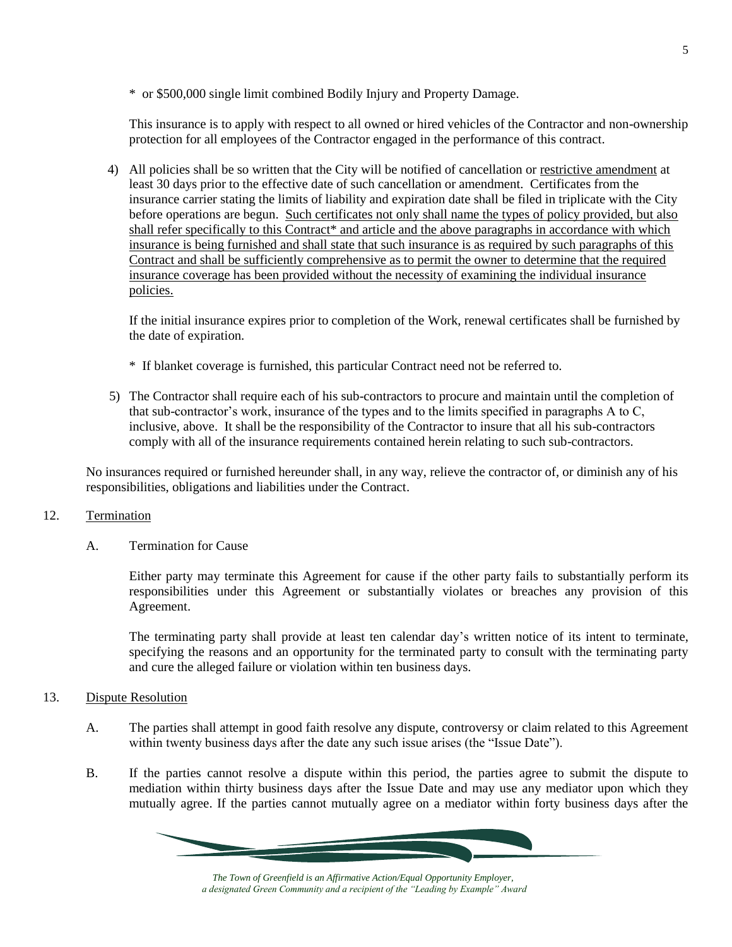\* or \$500,000 single limit combined Bodily Injury and Property Damage.

This insurance is to apply with respect to all owned or hired vehicles of the Contractor and non-ownership protection for all employees of the Contractor engaged in the performance of this contract.

4) All policies shall be so written that the City will be notified of cancellation or restrictive amendment at least 30 days prior to the effective date of such cancellation or amendment. Certificates from the insurance carrier stating the limits of liability and expiration date shall be filed in triplicate with the City before operations are begun. Such certificates not only shall name the types of policy provided, but also shall refer specifically to this Contract\* and article and the above paragraphs in accordance with which insurance is being furnished and shall state that such insurance is as required by such paragraphs of this Contract and shall be sufficiently comprehensive as to permit the owner to determine that the required insurance coverage has been provided without the necessity of examining the individual insurance policies.

If the initial insurance expires prior to completion of the Work, renewal certificates shall be furnished by the date of expiration.

- \* If blanket coverage is furnished, this particular Contract need not be referred to.
- 5) The Contractor shall require each of his sub-contractors to procure and maintain until the completion of that sub-contractor's work, insurance of the types and to the limits specified in paragraphs A to C, inclusive, above. It shall be the responsibility of the Contractor to insure that all his sub-contractors comply with all of the insurance requirements contained herein relating to such sub-contractors.

No insurances required or furnished hereunder shall, in any way, relieve the contractor of, or diminish any of his responsibilities, obligations and liabilities under the Contract.

#### 12. Termination

A. Termination for Cause

Either party may terminate this Agreement for cause if the other party fails to substantially perform its responsibilities under this Agreement or substantially violates or breaches any provision of this Agreement.

The terminating party shall provide at least ten calendar day's written notice of its intent to terminate, specifying the reasons and an opportunity for the terminated party to consult with the terminating party and cure the alleged failure or violation within ten business days.

#### 13. Dispute Resolution

- A. The parties shall attempt in good faith resolve any dispute, controversy or claim related to this Agreement within twenty business days after the date any such issue arises (the "Issue Date").
- B. If the parties cannot resolve a dispute within this period, the parties agree to submit the dispute to mediation within thirty business days after the Issue Date and may use any mediator upon which they mutually agree. If the parties cannot mutually agree on a mediator within forty business days after the

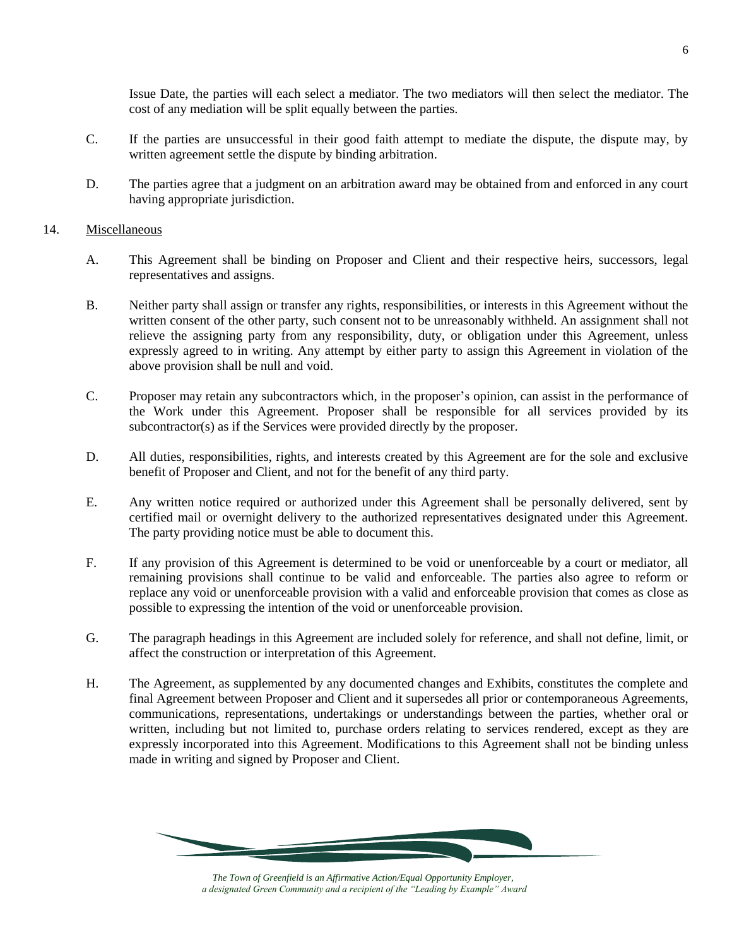Issue Date, the parties will each select a mediator. The two mediators will then select the mediator. The cost of any mediation will be split equally between the parties.

- C. If the parties are unsuccessful in their good faith attempt to mediate the dispute, the dispute may, by written agreement settle the dispute by binding arbitration.
- D. The parties agree that a judgment on an arbitration award may be obtained from and enforced in any court having appropriate jurisdiction.

#### 14. Miscellaneous

- A. This Agreement shall be binding on Proposer and Client and their respective heirs, successors, legal representatives and assigns.
- B. Neither party shall assign or transfer any rights, responsibilities, or interests in this Agreement without the written consent of the other party, such consent not to be unreasonably withheld. An assignment shall not relieve the assigning party from any responsibility, duty, or obligation under this Agreement, unless expressly agreed to in writing. Any attempt by either party to assign this Agreement in violation of the above provision shall be null and void.
- C. Proposer may retain any subcontractors which, in the proposer's opinion, can assist in the performance of the Work under this Agreement. Proposer shall be responsible for all services provided by its subcontractor(s) as if the Services were provided directly by the proposer.
- D. All duties, responsibilities, rights, and interests created by this Agreement are for the sole and exclusive benefit of Proposer and Client, and not for the benefit of any third party.
- E. Any written notice required or authorized under this Agreement shall be personally delivered, sent by certified mail or overnight delivery to the authorized representatives designated under this Agreement. The party providing notice must be able to document this.
- F. If any provision of this Agreement is determined to be void or unenforceable by a court or mediator, all remaining provisions shall continue to be valid and enforceable. The parties also agree to reform or replace any void or unenforceable provision with a valid and enforceable provision that comes as close as possible to expressing the intention of the void or unenforceable provision.
- G. The paragraph headings in this Agreement are included solely for reference, and shall not define, limit, or affect the construction or interpretation of this Agreement.
- H. The Agreement, as supplemented by any documented changes and Exhibits, constitutes the complete and final Agreement between Proposer and Client and it supersedes all prior or contemporaneous Agreements, communications, representations, undertakings or understandings between the parties, whether oral or written, including but not limited to, purchase orders relating to services rendered, except as they are expressly incorporated into this Agreement. Modifications to this Agreement shall not be binding unless made in writing and signed by Proposer and Client.



*The Town of Greenfield is an Affirmative Action/Equal Opportunity Employer, a designated Green Community and a recipient of the "Leading by Example" Award*